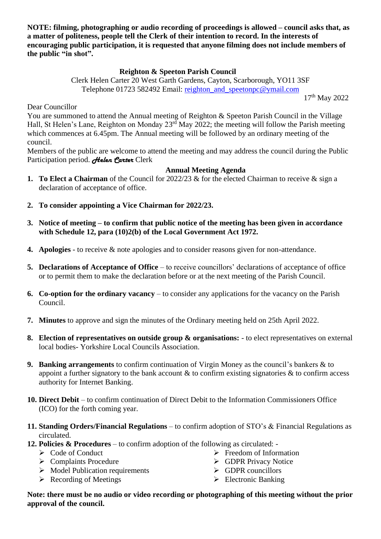**NOTE: filming, photographing or audio recording of proceedings is allowed – council asks that, as a matter of politeness, people tell the Clerk of their intention to record. In the interests of encouraging public participation, it is requested that anyone filming does not include members of the public "in shot".**

## **Reighton & Speeton Parish Council**

Clerk Helen Carter 20 West Garth Gardens, Cayton, Scarborough, YO11 3SF Telephone 01723 582492 Email: [reighton\\_and\\_speetonpc@ymail.com](mailto:reighton_and_speetonpc@ymail.com)

17th May 2022

Dear Councillor

You are summoned to attend the Annual meeting of Reighton & Speeton Parish Council in the Village Hall, St Helen's Lane, Reighton on Monday 23<sup>rd</sup> May 2022; the meeting will follow the Parish meeting which commences at 6.45pm. The Annual meeting will be followed by an ordinary meeting of the council.

Members of the public are welcome to attend the meeting and may address the council during the Public Participation period. **Helen Parter** Clerk

## **Annual Meeting Agenda**

- **1. To Elect a Chairman** of the Council for 2022/23 & for the elected Chairman to receive & sign a declaration of acceptance of office.
- **2. To consider appointing a Vice Chairman for 2022/23.**
- **3. Notice of meeting – to confirm that public notice of the meeting has been given in accordance with Schedule 12, para (10)2(b) of the Local Government Act 1972.**
- **4. Apologies** to receive & note apologies and to consider reasons given for non-attendance.
- **5. Declarations of Acceptance of Office** to receive councillors' declarations of acceptance of office or to permit them to make the declaration before or at the next meeting of the Parish Council.
- **6. Co-option for the ordinary vacancy** to consider any applications for the vacancy on the Parish Council.
- **7. Minutes** to approve and sign the minutes of the Ordinary meeting held on 25th April 2022.
- **8. Election of representatives on outside group & organisations:** to elect representatives on external local bodies- Yorkshire Local Councils Association.
- **9. Banking arrangements** to confirm continuation of Virgin Money as the council's bankers & to appoint a further signatory to the bank account  $\&$  to confirm existing signatories  $\&$  to confirm access authority for Internet Banking.
- **10. Direct Debit** to confirm continuation of Direct Debit to the Information Commissioners Office (ICO) for the forth coming year.
- **11. Standing Orders/Financial Regulations** to confirm adoption of STO's & Financial Regulations as circulated.
- **12. Policies & Procedures** to confirm adoption of the following as circulated:
	- ➢ Code of Conduct
	- ➢ Complaints Procedure
	- ➢ Model Publication requirements
	- $\triangleright$  Recording of Meetings
- ➢ Freedom of Information
- ➢ GDPR Privacy Notice
- ➢ GDPR councillors
- ➢ Electronic Banking

**Note: there must be no audio or video recording or photographing of this meeting without the prior approval of the council.**